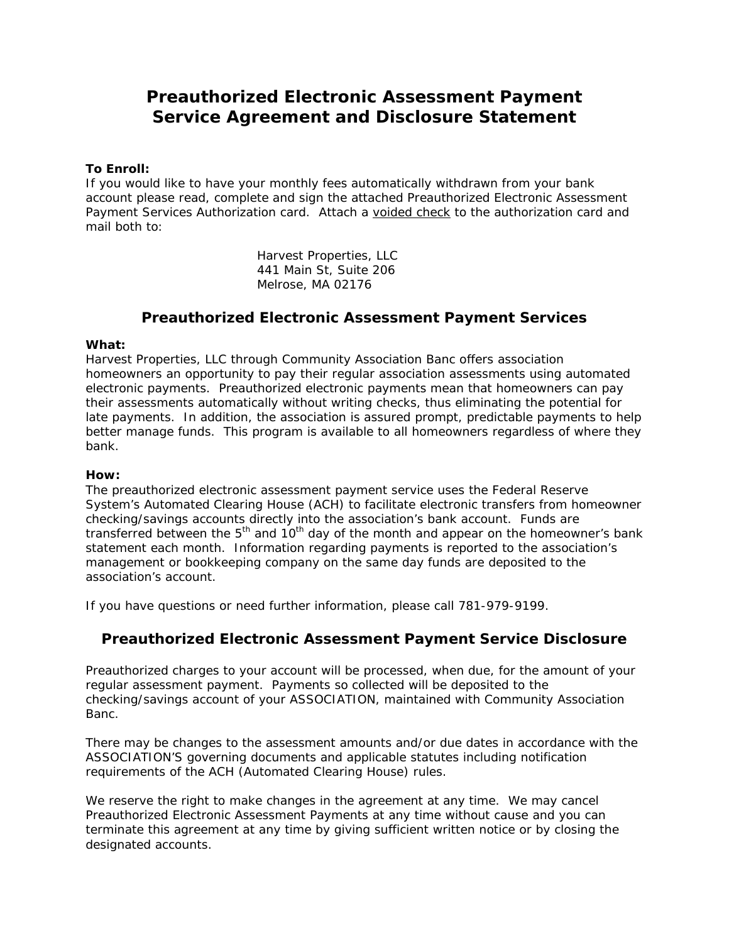# *Preauthorized Electronic Assessment Payment Service Agreement and Disclosure Statement*

## **To Enroll:**

If you would like to have your monthly fees automatically withdrawn from your bank account please read, complete and sign the attached Preauthorized Electronic Assessment Payment Services Authorization card. Attach a voided check to the authorization card and mail both to:

> Harvest Properties, LLC 441 Main St, Suite 206 Melrose, MA 02176

# *Preauthorized Electronic Assessment Payment Services*

### **What:**

Harvest Properties, LLC through Community Association Banc offers association homeowners an opportunity to pay their regular association assessments using automated electronic payments. Preauthorized electronic payments mean that homeowners can pay their assessments automatically without writing checks, thus eliminating the potential for late payments. In addition, the association is assured prompt, predictable payments to help better manage funds. This program is available to all homeowners regardless of where they bank.

### **How:**

The preauthorized electronic assessment payment service uses the Federal Reserve System's Automated Clearing House (ACH) to facilitate electronic transfers from homeowner checking/savings accounts directly into the association's bank account. Funds are transferred between the  $5<sup>th</sup>$  and  $10<sup>th</sup>$  day of the month and appear on the homeowner's bank statement each month. Information regarding payments is reported to the association's management or bookkeeping company on the same day funds are deposited to the association's account.

If you have questions or need further information, please call 781-979-9199.

# *Preauthorized Electronic Assessment Payment Service Disclosure*

Preauthorized charges to your account will be processed, when due, for the amount of your regular assessment payment. Payments so collected will be deposited to the checking/savings account of your ASSOCIATION, maintained with Community Association Banc.

There may be changes to the assessment amounts and/or due dates in accordance with the ASSOCIATION'S governing documents and applicable statutes including notification requirements of the ACH (Automated Clearing House) rules.

We reserve the right to make changes in the agreement at any time. We may cancel Preauthorized Electronic Assessment Payments at any time without cause and you can terminate this agreement at any time by giving sufficient written notice or by closing the designated accounts.